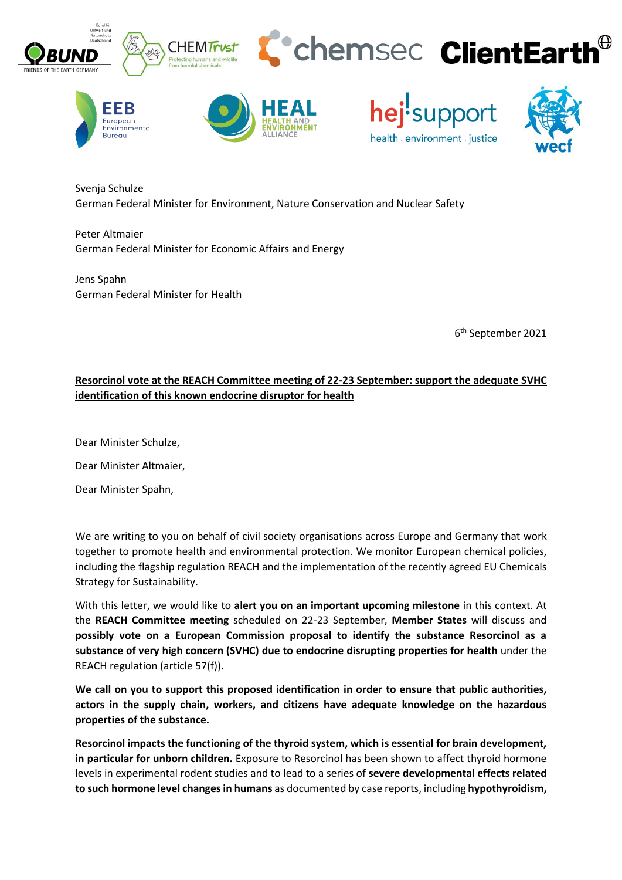

Svenja Schulze German Federal Minister for Environment, Nature Conservation and Nuclear Safety

Peter Altmaier German Federal Minister for Economic Affairs and Energy

Jens Spahn German Federal Minister for Health

**Bureau** 

6 th September 2021

health environment iustice

# **Resorcinol vote at the REACH Committee meeting of 22-23 September: support the adequate SVHC identification of this known endocrine disruptor for health**

Dear Minister Schulze,

Dear Minister Altmaier,

Dear Minister Spahn,

We are writing to you on behalf of civil society organisations across Europe and Germany that work together to promote health and environmental protection. We monitor European chemical policies, including the flagship regulation REACH and the implementation of the recently agreed EU Chemicals Strategy for Sustainability.

With this letter, we would like to **alert you on an important upcoming milestone** in this context. At the **REACH Committee meeting** scheduled on 22-23 September, **Member States** will discuss and **possibly vote on a European Commission proposal to identify the substance Resorcinol as a substance of very high concern (SVHC) due to endocrine disrupting properties for health** under the REACH regulation (article 57(f)).

**We call on you to support this proposed identification in order to ensure that public authorities, actors in the supply chain, workers, and citizens have adequate knowledge on the hazardous properties of the substance.** 

**Resorcinol impacts the functioning of the thyroid system, which is essential for brain development, in particular for unborn children.** Exposure to Resorcinol has been shown to affect thyroid hormone levels in experimental rodent studies and to lead to a series of **severe developmental effects related to such hormone level changes in humans** as documented by case reports, including **hypothyroidism,**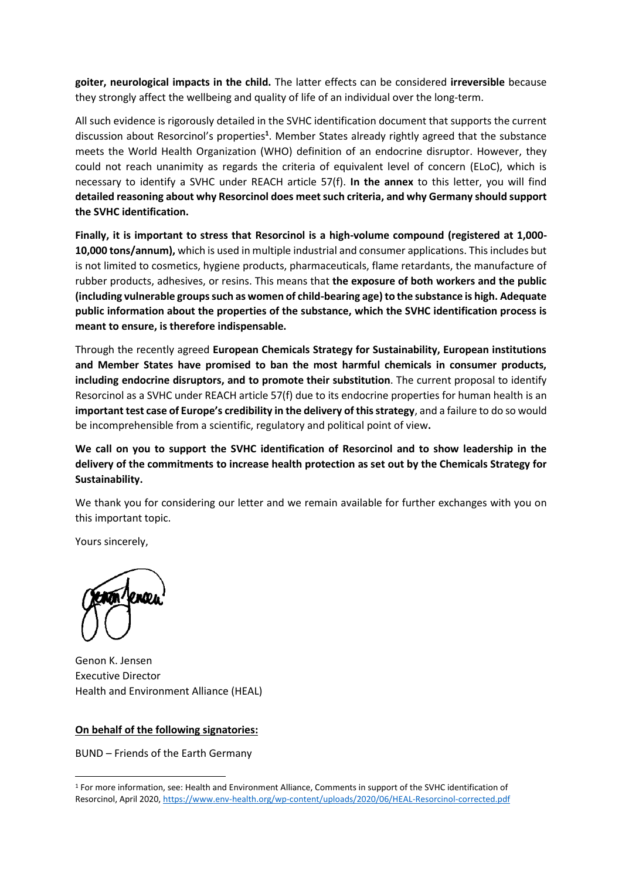**goiter, neurological impacts in the child.** The latter effects can be considered **irreversible** because they strongly affect the wellbeing and quality of life of an individual over the long-term.

All such evidence is rigorously detailed in the SVHC identification document that supports the current discussion about Resorcinol's properties**<sup>1</sup>** . Member States already rightly agreed that the substance meets the World Health Organization (WHO) definition of an endocrine disruptor. However, they could not reach unanimity as regards the criteria of equivalent level of concern (ELoC), which is necessary to identify a SVHC under REACH article 57(f). **In the annex** to this letter, you will find **detailed reasoning about why Resorcinol does meet such criteria, and why Germany should support the SVHC identification.**

**Finally, it is important to stress that Resorcinol is a high-volume compound (registered at 1,000- 10,000 tons/annum),** which is used in multiple industrial and consumer applications. This includes but is not limited to cosmetics, hygiene products, pharmaceuticals, flame retardants, the manufacture of rubber products, adhesives, or resins. This means that **the exposure of both workers and the public (including vulnerable groups such as women of child-bearing age) to the substance is high. Adequate public information about the properties of the substance, which the SVHC identification process is meant to ensure, is therefore indispensable.**

Through the recently agreed **European Chemicals Strategy for Sustainability, European institutions and Member States have promised to ban the most harmful chemicals in consumer products, including endocrine disruptors, and to promote their substitution**. The current proposal to identify Resorcinol as a SVHC under REACH article 57(f) due to its endocrine properties for human health is an **important test case of Europe's credibility in the delivery of this strategy**, and a failure to do so would be incomprehensible from a scientific, regulatory and political point of view**.**

**We call on you to support the SVHC identification of Resorcinol and to show leadership in the delivery of the commitments to increase health protection as set out by the Chemicals Strategy for Sustainability.**

We thank you for considering our letter and we remain available for further exchanges with you on this important topic.

Yours sincerely,

Genon K. Jensen Executive Director Health and Environment Alliance (HEAL)

#### **On behalf of the following signatories:**

BUND – Friends of the Earth Germany

<sup>1</sup> For more information, see: Health and Environment Alliance, Comments in support of the SVHC identification of Resorcinol, April 2020[, https://www.env-health.org/wp-content/uploads/2020/06/HEAL-Resorcinol-corrected.pdf](https://www.env-health.org/wp-content/uploads/2020/06/HEAL-Resorcinol-corrected.pdf)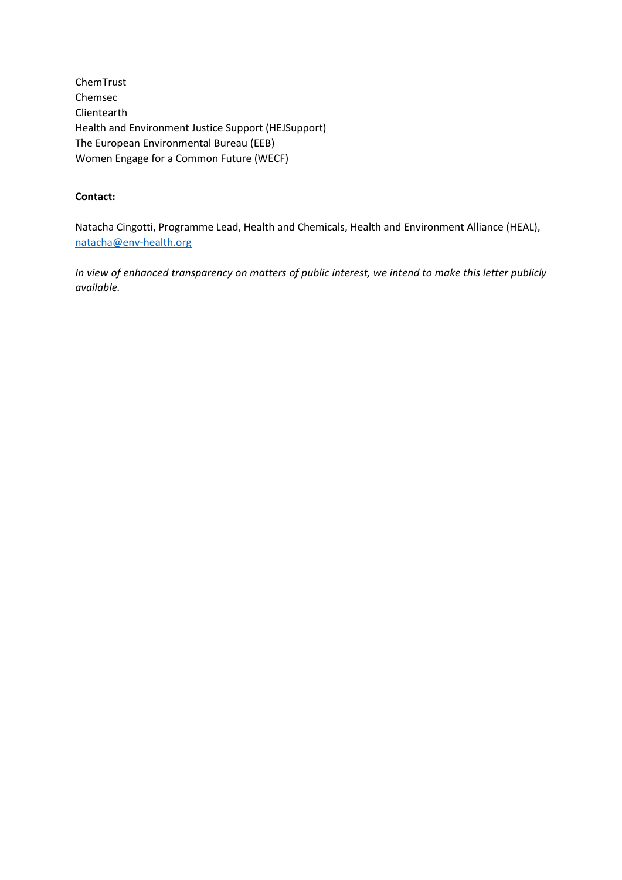ChemTrust Chemsec Clientearth Health and Environment Justice Support (HEJSupport) The European Environmental Bureau (EEB) Women Engage for a Common Future (WECF)

### **Contact:**

Natacha Cingotti, Programme Lead, Health and Chemicals, Health and Environment Alliance (HEAL), [natacha@env-health.org](mailto:natacha@env-health.org)

*In view of enhanced transparency on matters of public interest, we intend to make this letter publicly available.*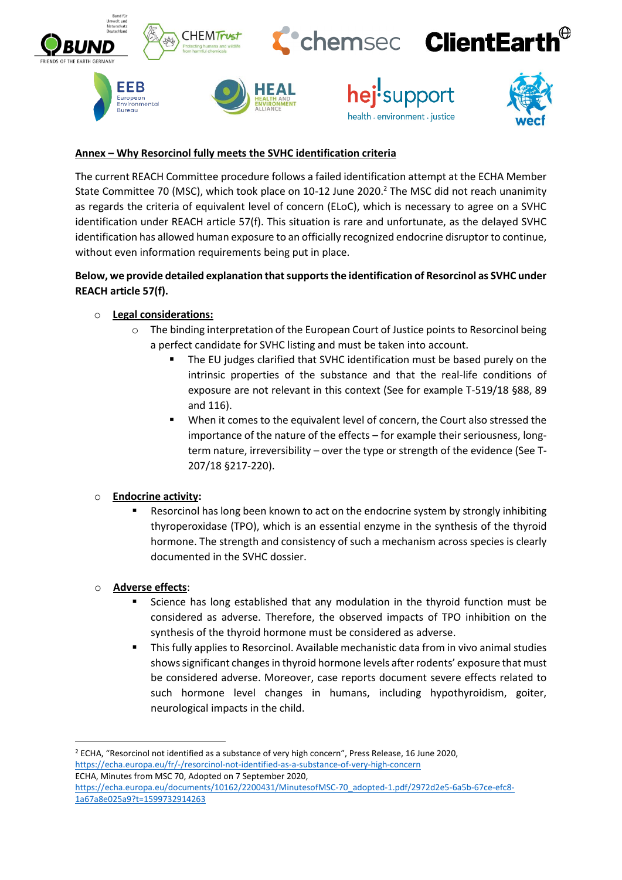

### **Annex – Why Resorcinol fully meets the SVHC identification criteria**

The current REACH Committee procedure follows a failed identification attempt at the ECHA Member State Committee 70 (MSC), which took place on 10-12 June 2020.<sup>2</sup> The MSC did not reach unanimity as regards the criteria of equivalent level of concern (ELoC), which is necessary to agree on a SVHC identification under REACH article 57(f). This situation is rare and unfortunate, as the delayed SVHC identification has allowed human exposure to an officially recognized endocrine disruptor to continue, without even information requirements being put in place.

# **Below, we provide detailed explanation that supports the identification of Resorcinol as SVHC under REACH article 57(f).**

### o **Legal considerations:**

- $\circ$  The binding interpretation of the European Court of Justice points to Resorcinol being a perfect candidate for SVHC listing and must be taken into account.
	- The EU judges clarified that SVHC identification must be based purely on the intrinsic properties of the substance and that the real-life conditions of exposure are not relevant in this context (See for example T-519/18 §88, 89 and 116).
	- When it comes to the equivalent level of concern, the Court also stressed the importance of the nature of the effects – for example their seriousness, longterm nature, irreversibility – over the type or strength of the evidence (See T-207/18 §217-220).

### o **Endocrine activity:**

Resorcinol has long been known to act on the endocrine system by strongly inhibiting thyroperoxidase (TPO), which is an essential enzyme in the synthesis of the thyroid hormone. The strength and consistency of such a mechanism across species is clearly documented in the SVHC dossier.

### o **Adverse effects**:

- Science has long established that any modulation in the thyroid function must be considered as adverse. Therefore, the observed impacts of TPO inhibition on the synthesis of the thyroid hormone must be considered as adverse.
- This fully applies to Resorcinol. Available mechanistic data from in vivo animal studies shows significant changes in thyroid hormone levels after rodents' exposure that must be considered adverse. Moreover, case reports document severe effects related to such hormone level changes in humans, including hypothyroidism, goiter, neurological impacts in the child.

<sup>2</sup> ECHA, "Resorcinol not identified as a substance of very high concern", Press Release, 16 June 2020, <https://echa.europa.eu/fr/-/resorcinol-not-identified-as-a-substance-of-very-high-concern> ECHA, Minutes from MSC 70, Adopted on 7 September 2020,

[https://echa.europa.eu/documents/10162/2200431/MinutesofMSC-70\\_adopted-1.pdf/2972d2e5-6a5b-67ce-efc8-](https://echa.europa.eu/documents/10162/2200431/MinutesofMSC-70_adopted-1.pdf/2972d2e5-6a5b-67ce-efc8-1a67a8e025a9?t=1599732914263) [1a67a8e025a9?t=1599732914263](https://echa.europa.eu/documents/10162/2200431/MinutesofMSC-70_adopted-1.pdf/2972d2e5-6a5b-67ce-efc8-1a67a8e025a9?t=1599732914263)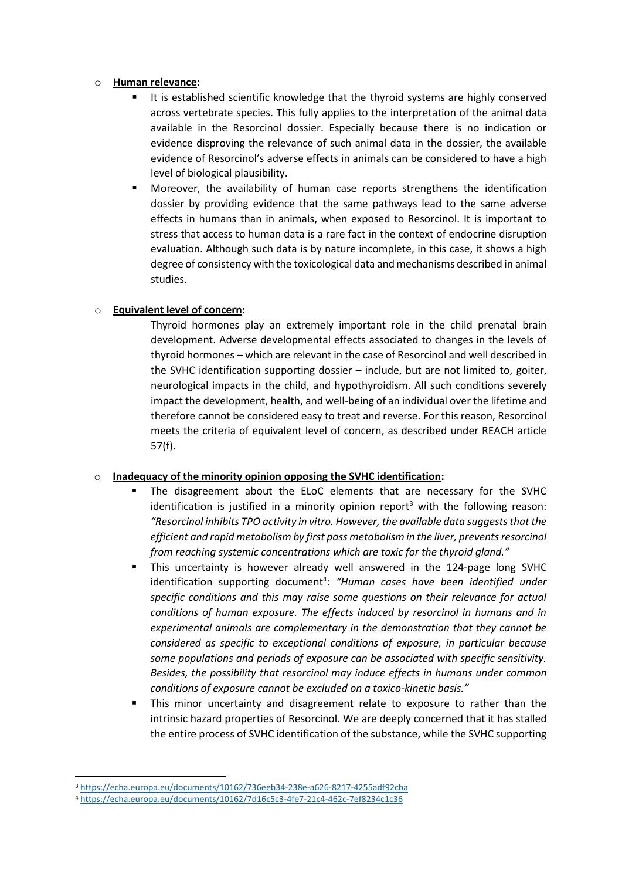#### o **Human relevance:**

- It is established scientific knowledge that the thyroid systems are highly conserved across vertebrate species. This fully applies to the interpretation of the animal data available in the Resorcinol dossier. Especially because there is no indication or evidence disproving the relevance of such animal data in the dossier, the available evidence of Resorcinol's adverse effects in animals can be considered to have a high level of biological plausibility.
- Moreover, the availability of human case reports strengthens the identification dossier by providing evidence that the same pathways lead to the same adverse effects in humans than in animals, when exposed to Resorcinol. It is important to stress that access to human data is a rare fact in the context of endocrine disruption evaluation. Although such data is by nature incomplete, in this case, it shows a high degree of consistency with the toxicological data and mechanisms described in animal studies.

## o **Equivalent level of concern:**

Thyroid hormones play an extremely important role in the child prenatal brain development. Adverse developmental effects associated to changes in the levels of thyroid hormones – which are relevant in the case of Resorcinol and well described in the SVHC identification supporting dossier – include, but are not limited to, goiter, neurological impacts in the child, and hypothyroidism. All such conditions severely impact the development, health, and well-being of an individual over the lifetime and therefore cannot be considered easy to treat and reverse. For this reason, Resorcinol meets the criteria of equivalent level of concern, as described under REACH article 57(f).

### o **Inadequacy of the minority opinion opposing the SVHC identification:**

- The disagreement about the ELoC elements that are necessary for the SVHC identification is justified in a minority opinion report<sup>3</sup> with the following reason: *"Resorcinol inhibits TPO activity in vitro. However, the available data suggests that the efficient and rapid metabolism by first pass metabolism in the liver, prevents resorcinol from reaching systemic concentrations which are toxic for the thyroid gland."*
- This uncertainty is however already well answered in the 124-page long SVHC identification supporting document<sup>4</sup>: "Human cases have been identified under *specific conditions and this may raise some questions on their relevance for actual conditions of human exposure. The effects induced by resorcinol in humans and in experimental animals are complementary in the demonstration that they cannot be considered as specific to exceptional conditions of exposure, in particular because some populations and periods of exposure can be associated with specific sensitivity. Besides, the possibility that resorcinol may induce effects in humans under common conditions of exposure cannot be excluded on a toxico-kinetic basis."*
- This minor uncertainty and disagreement relate to exposure to rather than the intrinsic hazard properties of Resorcinol. We are deeply concerned that it has stalled the entire process of SVHC identification of the substance, while the SVHC supporting

<sup>3</sup> <https://echa.europa.eu/documents/10162/736eeb34-238e-a626-8217-4255adf92cba>

<sup>4</sup> <https://echa.europa.eu/documents/10162/7d16c5c3-4fe7-21c4-462c-7ef8234c1c36>